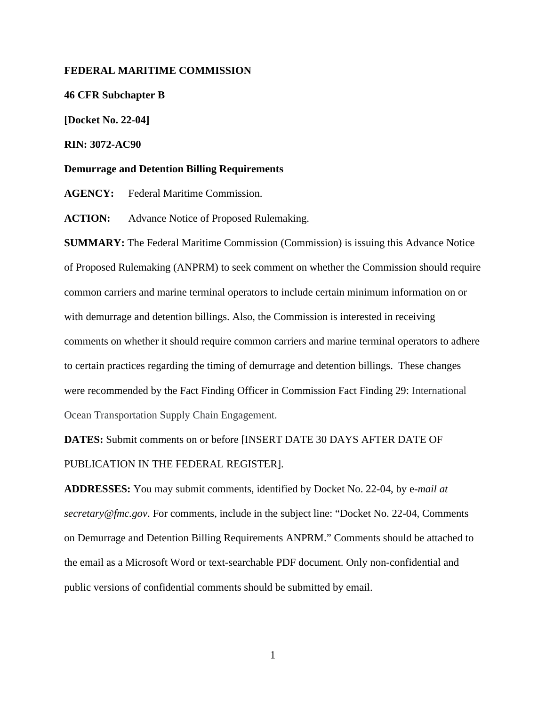### **FEDERAL MARITIME COMMISSION**

**46 CFR Subchapter B**

**[Docket No. 22-04]**

**RIN: 3072-AC90**

**Demurrage and Detention Billing Requirements**

**AGENCY:** Federal Maritime Commission.

**ACTION:** Advance Notice of Proposed Rulemaking.

**SUMMARY:** The Federal Maritime Commission (Commission) is issuing this Advance Notice of Proposed Rulemaking (ANPRM) to seek comment on whether the Commission should require common carriers and marine terminal operators to include certain minimum information on or with demurrage and detention billings. Also, the Commission is interested in receiving comments on whether it should require common carriers and marine terminal operators to adhere to certain practices regarding the timing of demurrage and detention billings. These changes were recommended by the Fact Finding Officer in Commission Fact Finding 29: International Ocean Transportation Supply Chain Engagement.

**DATES:** Submit comments on or before [INSERT DATE 30 DAYS AFTER DATE OF PUBLICATION IN THE FEDERAL REGISTER].

**ADDRESSES:** You may submit comments, identified by Docket No. 22-04, by e-*mail at secretary@fmc.gov*. For comments, include in the subject line: "Docket No. 22-04, Comments on Demurrage and Detention Billing Requirements ANPRM." Comments should be attached to the email as a Microsoft Word or text-searchable PDF document. Only non-confidential and public versions of confidential comments should be submitted by email.

1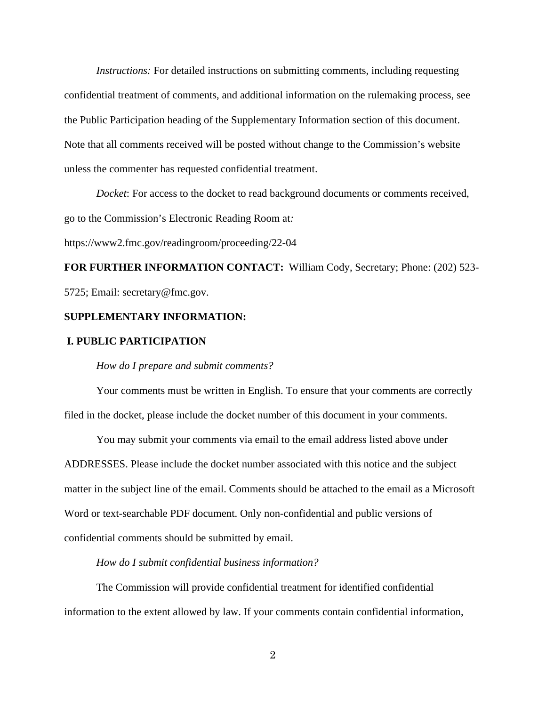*Instructions:* For detailed instructions on submitting comments, including requesting confidential treatment of comments, and additional information on the rulemaking process, see the Public Participation heading of the Supplementary Information section of this document. Note that all comments received will be posted without change to the Commission's website unless the commenter has requested confidential treatment.

 *Docket*: For access to the docket to read background documents or comments received, go to the Commission's Electronic Reading Room at*:* 

https://www2.fmc.gov/readingroom/proceeding/22-04

**FOR FURTHER INFORMATION CONTACT:** William Cody, Secretary; Phone: (202) 523- 5725; Email: secretary@fmc.gov.

# **SUPPLEMENTARY INFORMATION:**

#### **I. PUBLIC PARTICIPATION**

*How do I prepare and submit comments?*

Your comments must be written in English. To ensure that your comments are correctly filed in the docket, please include the docket number of this document in your comments.

You may submit your comments via email to the email address listed above under ADDRESSES. Please include the docket number associated with this notice and the subject matter in the subject line of the email. Comments should be attached to the email as a Microsoft Word or text-searchable PDF document. Only non-confidential and public versions of confidential comments should be submitted by email.

#### *How do I submit confidential business information?*

The Commission will provide confidential treatment for identified confidential information to the extent allowed by law. If your comments contain confidential information,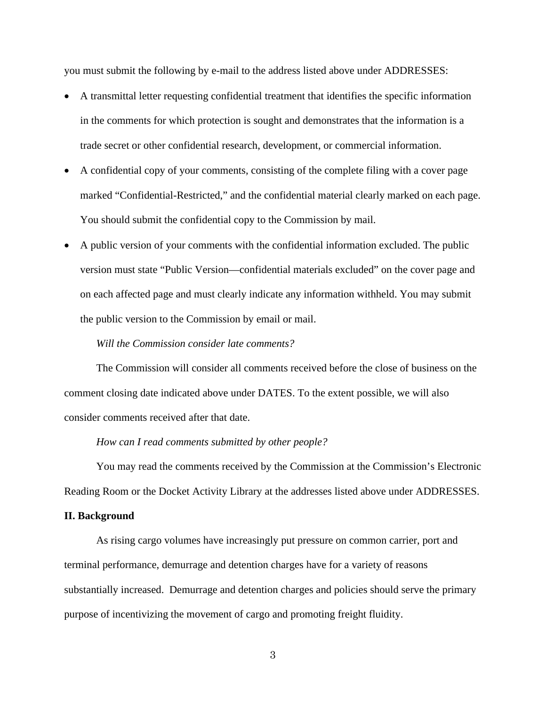you must submit the following by e-mail to the address listed above under ADDRESSES:

- A transmittal letter requesting confidential treatment that identifies the specific information in the comments for which protection is sought and demonstrates that the information is a trade secret or other confidential research, development, or commercial information.
- A confidential copy of your comments, consisting of the complete filing with a cover page marked "Confidential-Restricted," and the confidential material clearly marked on each page. You should submit the confidential copy to the Commission by mail.
- A public version of your comments with the confidential information excluded. The public version must state "Public Version—confidential materials excluded" on the cover page and on each affected page and must clearly indicate any information withheld. You may submit the public version to the Commission by email or mail.

# *Will the Commission consider late comments?*

The Commission will consider all comments received before the close of business on the comment closing date indicated above under DATES. To the extent possible, we will also consider comments received after that date.

### *How can I read comments submitted by other people?*

You may read the comments received by the Commission at the Commission's Electronic Reading Room or the Docket Activity Library at the addresses listed above under ADDRESSES.

#### **II. Background**

As rising cargo volumes have increasingly put pressure on common carrier, port and terminal performance, demurrage and detention charges have for a variety of reasons substantially increased. Demurrage and detention charges and policies should serve the primary purpose of incentivizing the movement of cargo and promoting freight fluidity.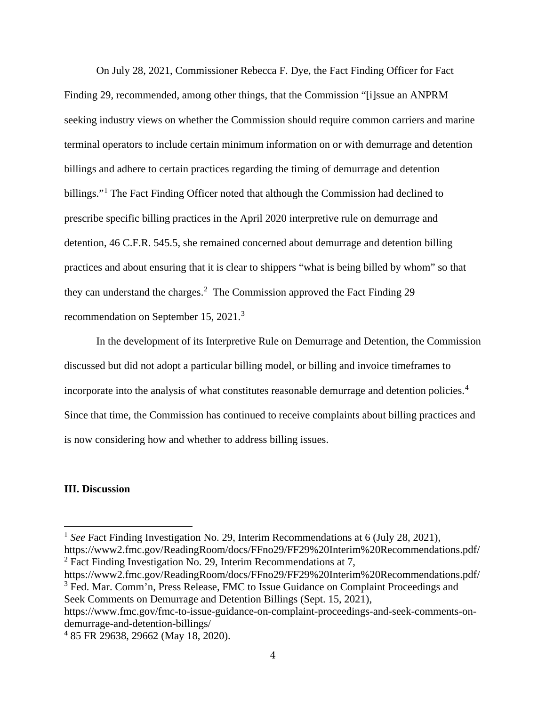On July 28, 2021, Commissioner Rebecca F. Dye, the Fact Finding Officer for Fact Finding 29, recommended, among other things, that the Commission "[i]ssue an ANPRM seeking industry views on whether the Commission should require common carriers and marine terminal operators to include certain minimum information on or with demurrage and detention billings and adhere to certain practices regarding the timing of demurrage and detention billings."<sup>[1](#page-3-0)</sup> The Fact Finding Officer noted that although the Commission had declined to prescribe specific billing practices in the April 2020 interpretive rule on demurrage and detention, 46 C.F.R. 545.5, she remained concerned about demurrage and detention billing practices and about ensuring that it is clear to shippers "what is being billed by whom" so that they can understand the charges.<sup>[2](#page-3-1)</sup> The Commission approved the Fact Finding 29 recommendation on September 15, 2021.[3](#page-3-2)

In the development of its Interpretive Rule on Demurrage and Detention, the Commission discussed but did not adopt a particular billing model, or billing and invoice timeframes to incorporate into the analysis of what constitutes reasonable demurrage and detention policies.<sup>[4](#page-3-3)</sup> Since that time, the Commission has continued to receive complaints about billing practices and is now considering how and whether to address billing issues.

# **III. Discussion**

<span id="page-3-2"></span><span id="page-3-1"></span>https://www2.fmc.gov/ReadingRoom/docs/FFno29/FF29%20Interim%20Recommendations.pdf/ <sup>3</sup> Fed. Mar. Comm'n, Press Release, FMC to Issue Guidance on Complaint Proceedings and Seek Comments on Demurrage and Detention Billings (Sept. 15, 2021),

https://www.fmc.gov/fmc-to-issue-guidance-on-complaint-proceedings-and-seek-comments-ondemurrage-and-detention-billings/

<span id="page-3-0"></span><sup>&</sup>lt;sup>1</sup> *See* Fact Finding Investigation No. 29, Interim Recommendations at 6 (July 28, 2021), https://www2.fmc.gov/ReadingRoom/docs/FFno29/FF29%20Interim%20Recommendations.pdf/ <sup>2</sup> Fact Finding Investigation No. 29, Interim Recommendations at 7,

<span id="page-3-3"></span><sup>4</sup> 85 FR 29638, 29662 (May 18, 2020).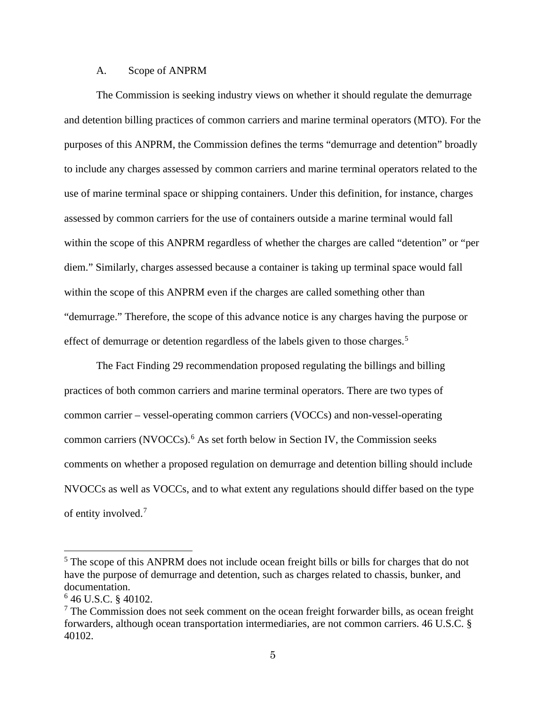# A. Scope of ANPRM

The Commission is seeking industry views on whether it should regulate the demurrage and detention billing practices of common carriers and marine terminal operators (MTO). For the purposes of this ANPRM, the Commission defines the terms "demurrage and detention" broadly to include any charges assessed by common carriers and marine terminal operators related to the use of marine terminal space or shipping containers. Under this definition, for instance, charges assessed by common carriers for the use of containers outside a marine terminal would fall within the scope of this ANPRM regardless of whether the charges are called "detention" or "per diem." Similarly, charges assessed because a container is taking up terminal space would fall within the scope of this ANPRM even if the charges are called something other than "demurrage." Therefore, the scope of this advance notice is any charges having the purpose or effect of demurrage or detention regardless of the labels given to those charges.<sup>[5](#page-4-0)</sup>

The Fact Finding 29 recommendation proposed regulating the billings and billing practices of both common carriers and marine terminal operators. There are two types of common carrier – vessel-operating common carriers (VOCCs) and non-vessel-operating common carriers (NVOCCs). [6](#page-4-1) As set forth below in Section IV, the Commission seeks comments on whether a proposed regulation on demurrage and detention billing should include NVOCCs as well as VOCCs, and to what extent any regulations should differ based on the type of entity involved.[7](#page-4-2)

<span id="page-4-0"></span><sup>&</sup>lt;sup>5</sup> The scope of this ANPRM does not include ocean freight bills or bills for charges that do not have the purpose of demurrage and detention, such as charges related to chassis, bunker, and documentation.

<span id="page-4-2"></span>

<span id="page-4-1"></span><sup>&</sup>lt;sup>6</sup> 46 U.S.C. § 40102.<br><sup>7</sup> The Commission does not seek comment on the ocean freight forwarder bills, as ocean freight forwarders, although ocean transportation intermediaries, are not common carriers. 46 U.S.C. § 40102.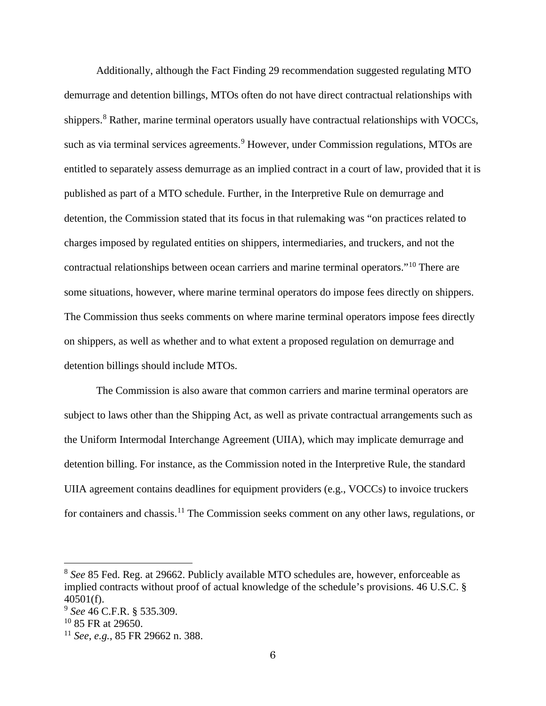Additionally, although the Fact Finding 29 recommendation suggested regulating MTO demurrage and detention billings, MTOs often do not have direct contractual relationships with shippers.<sup>[8](#page-5-0)</sup> Rather, marine terminal operators usually have contractual relationships with VOCCs, such as via terminal services agreements.<sup>[9](#page-5-1)</sup> However, under Commission regulations, MTOs are entitled to separately assess demurrage as an implied contract in a court of law, provided that it is published as part of a MTO schedule. Further, in the Interpretive Rule on demurrage and detention, the Commission stated that its focus in that rulemaking was "on practices related to charges imposed by regulated entities on shippers, intermediaries, and truckers, and not the contractual relationships between ocean carriers and marine terminal operators."[10](#page-5-2) There are some situations, however, where marine terminal operators do impose fees directly on shippers. The Commission thus seeks comments on where marine terminal operators impose fees directly on shippers, as well as whether and to what extent a proposed regulation on demurrage and detention billings should include MTOs.

The Commission is also aware that common carriers and marine terminal operators are subject to laws other than the Shipping Act, as well as private contractual arrangements such as the Uniform Intermodal Interchange Agreement (UIIA), which may implicate demurrage and detention billing. For instance, as the Commission noted in the Interpretive Rule, the standard UIIA agreement contains deadlines for equipment providers (e.g., VOCCs) to invoice truckers for containers and chassis.<sup>[11](#page-5-3)</sup> The Commission seeks comment on any other laws, regulations, or

<span id="page-5-0"></span><sup>8</sup> *See* 85 Fed. Reg. at 29662. Publicly available MTO schedules are, however, enforceable as implied contracts without proof of actual knowledge of the schedule's provisions. 46 U.S.C. § 40501(f).

<span id="page-5-1"></span><sup>9</sup> *See* 46 C.F.R. § 535.309.

<span id="page-5-2"></span> $10$  85 FR at 29650.

<span id="page-5-3"></span><sup>11</sup> *See*, *e.g.*, 85 FR 29662 n. 388.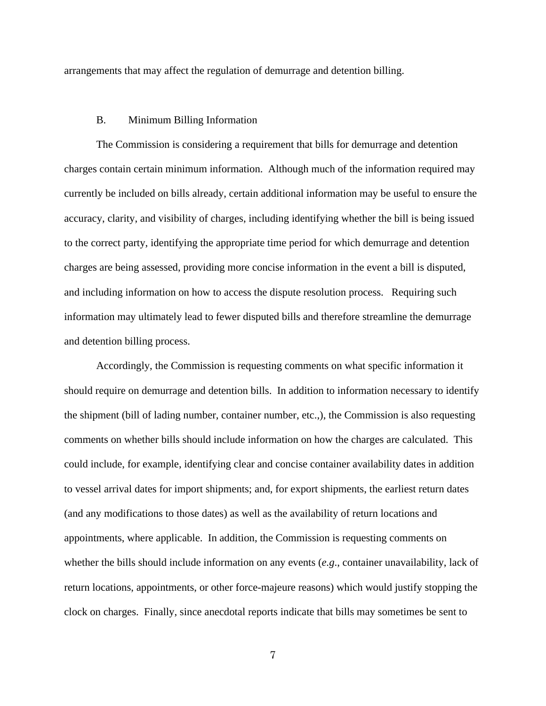arrangements that may affect the regulation of demurrage and detention billing.

# B. Minimum Billing Information

The Commission is considering a requirement that bills for demurrage and detention charges contain certain minimum information. Although much of the information required may currently be included on bills already, certain additional information may be useful to ensure the accuracy, clarity, and visibility of charges, including identifying whether the bill is being issued to the correct party, identifying the appropriate time period for which demurrage and detention charges are being assessed, providing more concise information in the event a bill is disputed, and including information on how to access the dispute resolution process. Requiring such information may ultimately lead to fewer disputed bills and therefore streamline the demurrage and detention billing process.

Accordingly, the Commission is requesting comments on what specific information it should require on demurrage and detention bills. In addition to information necessary to identify the shipment (bill of lading number, container number, etc.,), the Commission is also requesting comments on whether bills should include information on how the charges are calculated. This could include, for example, identifying clear and concise container availability dates in addition to vessel arrival dates for import shipments; and, for export shipments, the earliest return dates (and any modifications to those dates) as well as the availability of return locations and appointments, where applicable. In addition, the Commission is requesting comments on whether the bills should include information on any events (*e.g*., container unavailability, lack of return locations, appointments, or other force-majeure reasons) which would justify stopping the clock on charges. Finally, since anecdotal reports indicate that bills may sometimes be sent to

7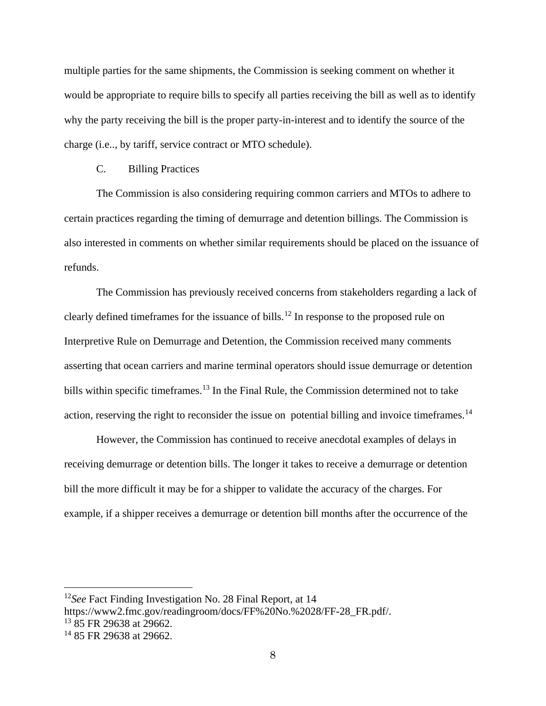multiple parties for the same shipments, the Commission is seeking comment on whether it would be appropriate to require bills to specify all parties receiving the bill as well as to identify why the party receiving the bill is the proper party-in-interest and to identify the source of the charge (i.e.., by tariff, service contract or MTO schedule).

# C. Billing Practices

The Commission is also considering requiring common carriers and MTOs to adhere to certain practices regarding the timing of demurrage and detention billings. The Commission is also interested in comments on whether similar requirements should be placed on the issuance of refunds.

The Commission has previously received concerns from stakeholders regarding a lack of clearly defined timeframes for the issuance of bills.<sup>[12](#page-7-0)</sup> In response to the proposed rule on Interpretive Rule on Demurrage and Detention, the Commission received many comments asserting that ocean carriers and marine terminal operators should issue demurrage or detention bills within specific timeframes.<sup>[13](#page-7-1)</sup> In the Final Rule, the Commission determined not to take action, reserving the right to reconsider the issue on potential billing and invoice timeframes.<sup>[14](#page-7-2)</sup>

However, the Commission has continued to receive anecdotal examples of delays in receiving demurrage or detention bills. The longer it takes to receive a demurrage or detention bill the more difficult it may be for a shipper to validate the accuracy of the charges. For example, if a shipper receives a demurrage or detention bill months after the occurrence of the

<span id="page-7-0"></span><sup>12</sup>*See* Fact Finding Investigation No. 28 Final Report, at 14

<span id="page-7-1"></span>https://www2.fmc.gov/readingroom/docs/FF%20No.%2028/FF-28\_FR.pdf/.<br><sup>13</sup> 85 FR 29638 at 29662.

<span id="page-7-2"></span> $14$  85 FR 29638 at 29662.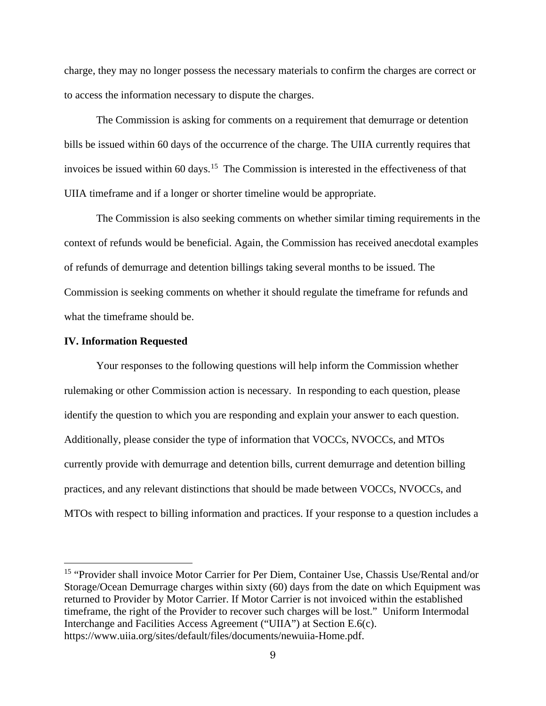charge, they may no longer possess the necessary materials to confirm the charges are correct or to access the information necessary to dispute the charges.

The Commission is asking for comments on a requirement that demurrage or detention bills be issued within 60 days of the occurrence of the charge. The UIIA currently requires that invoices be issued within  $60 \text{ days}$ .<sup>15</sup> The Commission is interested in the effectiveness of that UIIA timeframe and if a longer or shorter timeline would be appropriate.

The Commission is also seeking comments on whether similar timing requirements in the context of refunds would be beneficial. Again, the Commission has received anecdotal examples of refunds of demurrage and detention billings taking several months to be issued. The Commission is seeking comments on whether it should regulate the timeframe for refunds and what the timeframe should be.

### **IV. Information Requested**

Your responses to the following questions will help inform the Commission whether rulemaking or other Commission action is necessary. In responding to each question, please identify the question to which you are responding and explain your answer to each question. Additionally, please consider the type of information that VOCCs, NVOCCs, and MTOs currently provide with demurrage and detention bills, current demurrage and detention billing practices, and any relevant distinctions that should be made between VOCCs, NVOCCs, and MTOs with respect to billing information and practices. If your response to a question includes a

<span id="page-8-0"></span><sup>&</sup>lt;sup>15</sup> "Provider shall invoice Motor Carrier for Per Diem, Container Use, Chassis Use/Rental and/or Storage/Ocean Demurrage charges within sixty (60) days from the date on which Equipment was returned to Provider by Motor Carrier. If Motor Carrier is not invoiced within the established timeframe, the right of the Provider to recover such charges will be lost." Uniform Intermodal Interchange and Facilities Access Agreement ("UIIA") at Section E.6(c). https://www.uiia.org/sites/default/files/documents/newuiia-Home.pdf.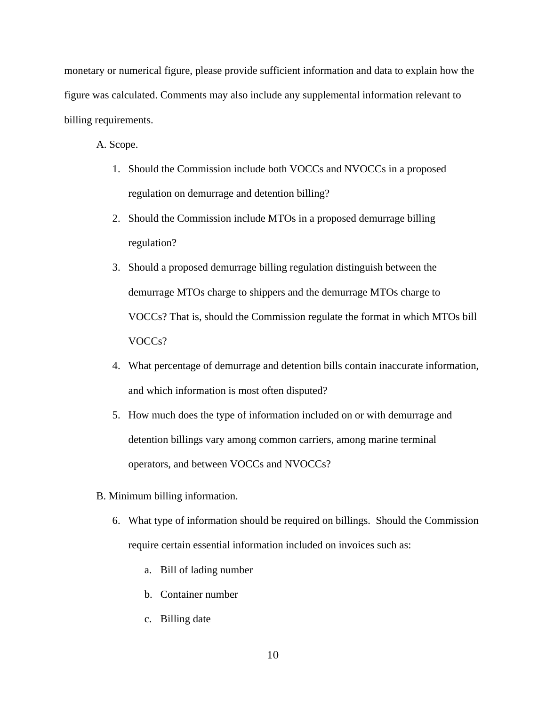monetary or numerical figure, please provide sufficient information and data to explain how the figure was calculated. Comments may also include any supplemental information relevant to billing requirements.

A. Scope.

- 1. Should the Commission include both VOCCs and NVOCCs in a proposed regulation on demurrage and detention billing?
- 2. Should the Commission include MTOs in a proposed demurrage billing regulation?
- 3. Should a proposed demurrage billing regulation distinguish between the demurrage MTOs charge to shippers and the demurrage MTOs charge to VOCCs? That is, should the Commission regulate the format in which MTOs bill VOCCs?
- 4. What percentage of demurrage and detention bills contain inaccurate information, and which information is most often disputed?
- 5. How much does the type of information included on or with demurrage and detention billings vary among common carriers, among marine terminal operators, and between VOCCs and NVOCCs?
- B. Minimum billing information.
	- 6. What type of information should be required on billings. Should the Commission require certain essential information included on invoices such as:
		- a. Bill of lading number
		- b. Container number
		- c. Billing date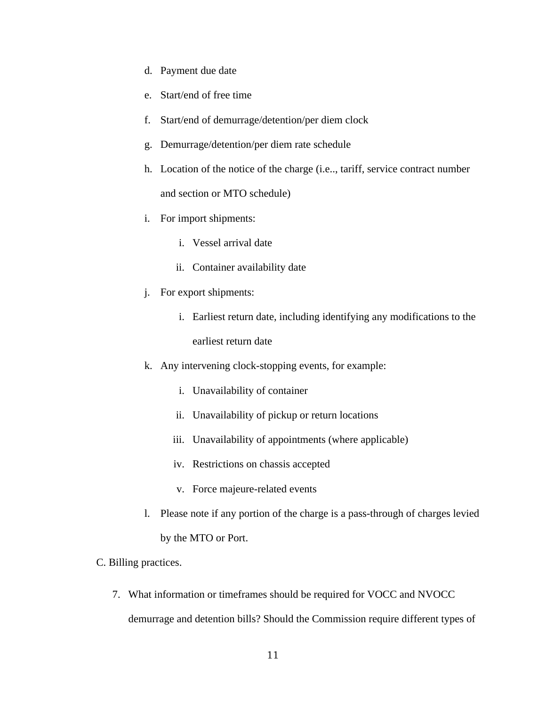- d. Payment due date
- e. Start/end of free time
- f. Start/end of demurrage/detention/per diem clock
- g. Demurrage/detention/per diem rate schedule
- h. Location of the notice of the charge (i.e.., tariff, service contract number and section or MTO schedule)
- i. For import shipments:
	- i. Vessel arrival date
	- ii. Container availability date
- j. For export shipments:
	- i. Earliest return date, including identifying any modifications to the earliest return date
- k. Any intervening clock-stopping events, for example:
	- i. Unavailability of container
	- ii. Unavailability of pickup or return locations
	- iii. Unavailability of appointments (where applicable)
	- iv. Restrictions on chassis accepted
	- v. Force majeure-related events
- l. Please note if any portion of the charge is a pass-through of charges levied by the MTO or Port.
- C. Billing practices.
	- 7. What information or timeframes should be required for VOCC and NVOCC demurrage and detention bills? Should the Commission require different types of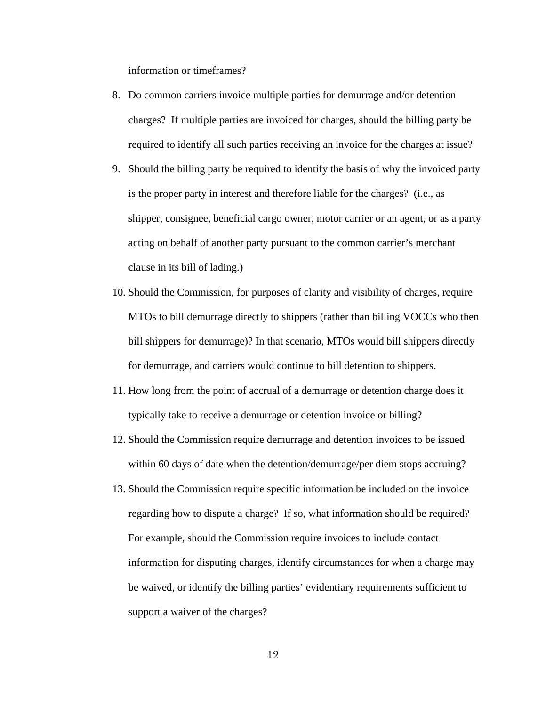information or timeframes?

- 8. Do common carriers invoice multiple parties for demurrage and/or detention charges? If multiple parties are invoiced for charges, should the billing party be required to identify all such parties receiving an invoice for the charges at issue?
- 9. Should the billing party be required to identify the basis of why the invoiced party is the proper party in interest and therefore liable for the charges? (i.e., as shipper, consignee, beneficial cargo owner, motor carrier or an agent, or as a party acting on behalf of another party pursuant to the common carrier's merchant clause in its bill of lading.)
- 10. Should the Commission, for purposes of clarity and visibility of charges, require MTOs to bill demurrage directly to shippers (rather than billing VOCCs who then bill shippers for demurrage)? In that scenario, MTOs would bill shippers directly for demurrage, and carriers would continue to bill detention to shippers.
- 11. How long from the point of accrual of a demurrage or detention charge does it typically take to receive a demurrage or detention invoice or billing?
- 12. Should the Commission require demurrage and detention invoices to be issued within 60 days of date when the detention/demurrage/per diem stops accruing?
- 13. Should the Commission require specific information be included on the invoice regarding how to dispute a charge? If so, what information should be required? For example, should the Commission require invoices to include contact information for disputing charges, identify circumstances for when a charge may be waived, or identify the billing parties' evidentiary requirements sufficient to support a waiver of the charges?